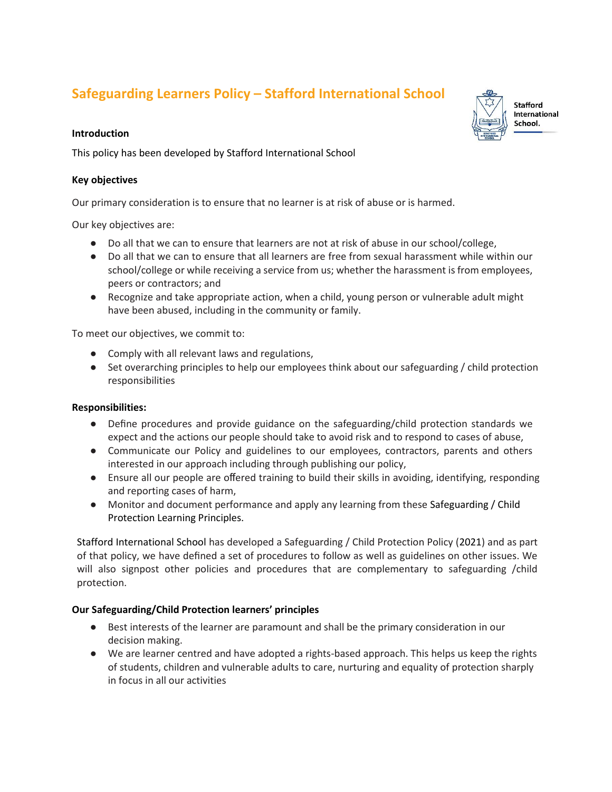# **Safeguarding Learners Policy – Stafford International School**

#### **Introduction**

This policy has been developed by Stafford International School

### **Key objectives**

Our primary consideration is to ensure that no learner is at risk of abuse or is harmed.

Our key objectives are:

- Do all that we can to ensure that learners are not at risk of abuse in our school/college,
- Do all that we can to ensure that all learners are free from sexual harassment while within our school/college or while receiving a service from us; whether the harassment is from employees, peers or contractors; and
- Recognize and take appropriate action, when a child, young person or vulnerable adult might have been abused, including in the community or family.

To meet our objectives, we commit to:

- Comply with all relevant laws and regulations,
- Set overarching principles to help our employees think about our safeguarding / child protection responsibilities

## **Responsibilities:**

- Define procedures and provide guidance on the safeguarding/child protection standards we expect and the actions our people should take to avoid risk and to respond to cases of abuse,
- Communicate our Policy and guidelines to our employees, contractors, parents and others interested in our approach including through publishing our policy,
- Ensure all our people are offered training to build their skills in avoiding, identifying, responding and reporting cases of harm,
- Monitor and document performance and apply any learning from these Safeguarding / Child Protection Learning Principles.

Stafford International School has developed a Safeguarding / Child Protection Policy (2021) and as part of that policy, we have defined a set of procedures to follow as well as guidelines on other issues. We will also signpost other policies and procedures that are complementary to safeguarding /child protection.

## **Our Safeguarding/Child Protection learners' principles**

- Best interests of the learner are paramount and shall be the primary consideration in our decision making.
- We are learner centred and have adopted a rights-based approach. This helps us keep the rights of students, children and vulnerable adults to care, nurturing and equality of protection sharply in focus in all our activities